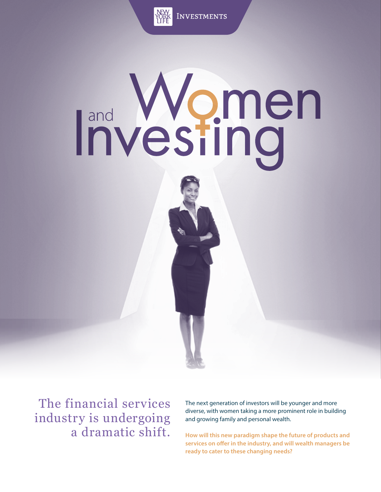

Investments

# Investing<sup>n</sup>

The financial services industry is undergoing a dramatic shift.

The next generation of investors will be younger and more diverse, with women taking a more prominent role in building and growing family and personal wealth.

**How will this new paradigm shape the future of products and**  services on offer in the industry, and will wealth managers be **ready to cater to these changing needs?**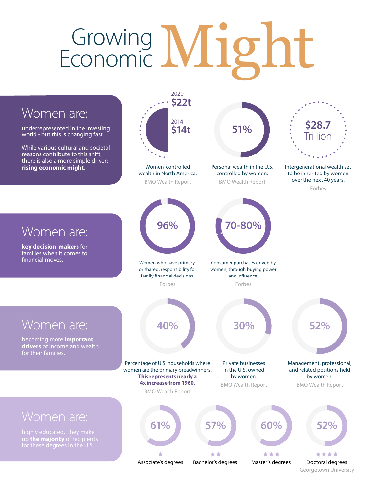### Growing Might Economic

#### 2020 **\$22t** Women are: 2014 **51% \$28.7** underrepresented in the investing **\$14t** world - but this is changing fast. **Trillion** While various cultural and societal reasons contribute to this shift, ٠., there is also a more simple driver: **rising economic might.** Women-controlled Personal wealth in the U.S. Intergenerational wealth set to be inherited by women wealth in North America. controlled by women. over the next 40 years. BMO Wealth Report BMO Wealth Report Forbes **96% 70-80%** Women are: **key decision-makers** for families when it comes to financial moves. Women who have primary, Consumer purchases driven by or shared, responsibility for women, through buying power family financial decisions. and influence. Forbes Forbes Women are: **40% 30% 52%** becoming more **important drivers** of income and wealth for their families. Percentage of U.S. households where Private businesses Management, professional, women are the primary breadwinners. in the U.S. owned and related positions held **This represents nearly a** by women. by women. **4x increase from 1960.** BMO Wealth Report BMO Wealth Report BMO Wealth Report Women are: **61% 57% 60% 52%**up **the majority** of recipients for these degrees in the U.S. \*\* \*\*\* \*\*\*\* Associate's degrees Bachelor's degrees Master's degrees Doctoral degrees

Georgetown University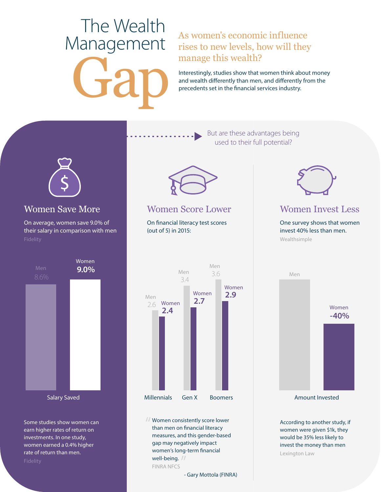## Gap The Wealth Management

#### As women's economic influence rises to new levels, how will they manage this wealth?

Interestingly, studies show that women think about money and wealth differently than men, and differently from the precedents set in the financial services industry.

> But are these advantages being used to their full potential?



#### Women Save More

On average, women save 9.0% of their salary in comparison with men



Some studies show women can earn higher rates of return on investments. In one study, women earned a 0.4% higher rate of return than men.



#### Women Score Lower

On financial literacy test scores (out of 5) in 2015:



Women consistently score lower than men on financial literacy measures, and this gender-based gap may negatively impact women's long-term financial well-being. // FINRA NFCS

- Gary Mottola (FINRA)



#### Women Invest Less

One survey shows that women invest 40% less than men. Wealthsimple



According to another study, if women were given \$1k, they would be 35% less likely to invest the money than men Lexington Law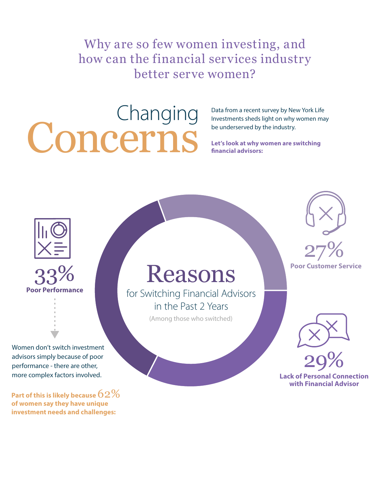Why are so few women investing, and how can the financial services industry better serve women?

# Concerns

Data from a recent survey by New York Life Investments sheds light on why women may be underserved by the industry.

**Let's look at why women are switching nancial advisors:**





33% **Reasons** 

for Switching Financial Advisors in the Past 2 Years

(Among those who switched)





**Lack of Personal Connection with Financial Advisor** 29%

Women don't switch investment advisors simply because of poor performance - there are other, more complex factors involved.

**Part of this is likely because** 62% **of women say they have unique investment needs and challenges:**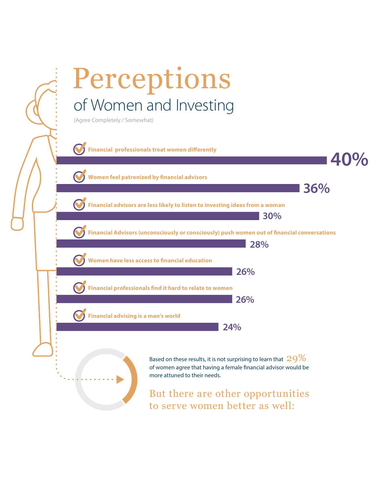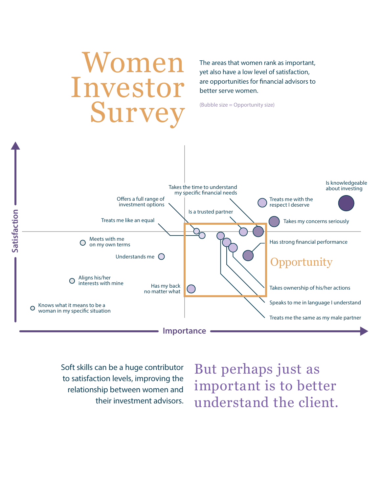

Soft skills can be a huge contributor to satisfaction levels, improving the relationship between women and their investment advisors. But perhaps just as important is to better understand the client.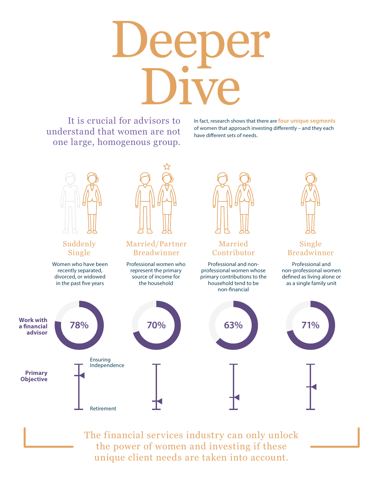# Deeper Dive

It is crucial for advisors to understand that women are not one large, homogenous group.

In fact, research shows that there are **four unique segments** of women that approach investing differently – and they each have different sets of needs.



The financial services industry can only unlock the power of women and investing if these unique client needs are taken into account.